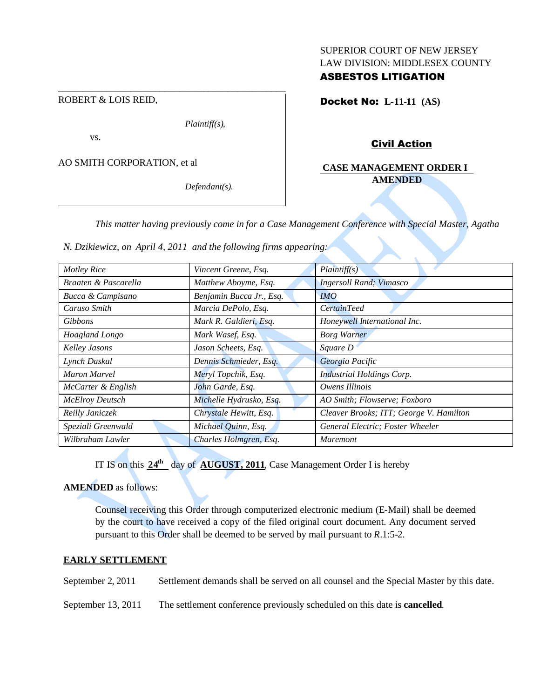## SUPERIOR COURT OF NEW JERSEY LAW DIVISION: MIDDLESEX COUNTY ASBESTOS LITIGATION

ROBERT & LOIS REID,

*Plaintiff(s),*

\_\_\_\_\_\_\_\_\_\_\_\_\_\_\_\_\_\_\_\_\_\_\_\_\_\_\_\_\_\_\_\_\_\_\_\_\_\_\_\_\_\_\_\_\_\_\_

vs.

AO SMITH CORPORATION, et al

*Defendant(s).*

Docket No: **L-11-11 (AS)**

# Civil Action

## **CASE MANAGEMENT ORDER I AMENDED**

*This matter having previously come in for a Case Management Conference with Special Master, Agatha*

*N. Dzikiewicz, on April 4, 2011 and the following firms appearing:*

| <b>Motley Rice</b>     | Vincent Greene, Esq.     | Plaintiff(s)                            |
|------------------------|--------------------------|-----------------------------------------|
| Braaten & Pascarella   | Matthew Aboyme, Esq.     | <b>Ingersoll Rand</b> ; Vimasco         |
| Bucca & Campisano      | Benjamin Bucca Jr., Esq. | <i>IMO</i>                              |
| Caruso Smith           | Marcia DePolo, Esq.      | <i>CertainTeed</i>                      |
| <b>Gibbons</b>         | Mark R. Galdieri, Esq.   | Honeywell International Inc.            |
| Hoagland Longo         | Mark Wasef, Esq.         | <b>Borg Warner</b>                      |
| Kelley Jasons          | Jason Scheets, Esq.      | Square D                                |
| Lynch Daskal           | Dennis Schmieder, Esq.   | Georgia Pacific                         |
| <b>Maron Marvel</b>    | Meryl Topchik, Esq.      | <b>Industrial Holdings Corp.</b>        |
| McCarter & English     | John Garde, Esq.         | Owens Illinois                          |
| <b>McElroy Deutsch</b> | Michelle Hydrusko, Esq.  | AO Smith; Flowserve; Foxboro            |
| Reilly Janiczek        | Chrystale Hewitt, Esq.   | Cleaver Brooks; ITT; George V. Hamilton |
| Speziali Greenwald     | Michael Quinn, Esq.      | General Electric; Foster Wheeler        |
| Wilbraham Lawler       | Charles Holmgren, Esq.   | <i>Maremont</i>                         |

IT IS on this  $24^{\text{th}}$  day of **AUGUST, 2011**, Case Management Order I is hereby

**AMENDED** as follows:

Counsel receiving this Order through computerized electronic medium (E-Mail) shall be deemed by the court to have received a copy of the filed original court document. Any document served pursuant to this Order shall be deemed to be served by mail pursuant to *R*.1:5-2.

#### **EARLY SETTLEMENT**

September 2, 2011 Settlement demands shall be served on all counsel and the Special Master by this date.

September 13, 2011 The settlement conference previously scheduled on this date is **cancelled**.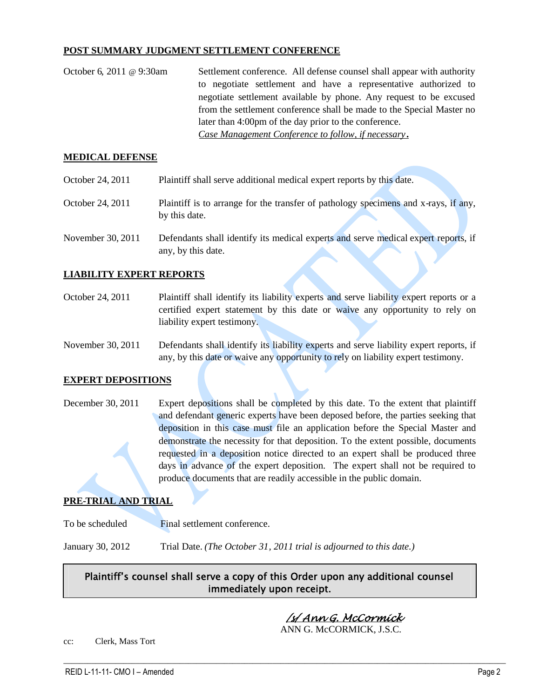### **POST SUMMARY JUDGMENT SETTLEMENT CONFERENCE**

| October 6, 2011 @ 9:30am | Settlement conference. All defense counsel shall appear with authority |  |
|--------------------------|------------------------------------------------------------------------|--|
|                          | to negotiate settlement and have a representative authorized to        |  |
|                          | negotiate settlement available by phone. Any request to be excused     |  |
|                          | from the settlement conference shall be made to the Special Master no  |  |
|                          | later than 4:00pm of the day prior to the conference.                  |  |
|                          | Case Management Conference to follow, if necessary.                    |  |

#### **MEDICAL DEFENSE**

October 24, 2011 Plaintiff shall serve additional medical expert reports by this date. October 24, 2011 Plaintiff is to arrange for the transfer of pathology specimens and x-rays, if any, by this date. November 30, 2011 Defendants shall identify its medical experts and serve medical expert reports, if any, by this date.

### **LIABILITY EXPERT REPORTS**

- October 24, 2011 Plaintiff shall identify its liability experts and serve liability expert reports or a certified expert statement by this date or waive any opportunity to rely on liability expert testimony.
- November 30, 2011 Defendants shall identify its liability experts and serve liability expert reports, if any, by this date or waive any opportunity to rely on liability expert testimony.

#### **EXPERT DEPOSITIONS**

December 30, 2011 Expert depositions shall be completed by this date. To the extent that plaintiff and defendant generic experts have been deposed before, the parties seeking that deposition in this case must file an application before the Special Master and demonstrate the necessity for that deposition. To the extent possible, documents requested in a deposition notice directed to an expert shall be produced three days in advance of the expert deposition. The expert shall not be required to produce documents that are readily accessible in the public domain.

#### **PRE-TRIAL AND TRIAL**

To be scheduled Final settlement conference.

January 30, 2012 Trial Date. *(The October 31, 2011 trial is adjourned to this date.)*

# Plaintiff's counsel shall serve a copy of this Order upon any additional counsel immediately upon receipt.

 $\_$  ,  $\_$  ,  $\_$  ,  $\_$  ,  $\_$  ,  $\_$  ,  $\_$  ,  $\_$  ,  $\_$  ,  $\_$  ,  $\_$  ,  $\_$  ,  $\_$  ,  $\_$  ,  $\_$  ,  $\_$  ,  $\_$  ,  $\_$  ,  $\_$  ,  $\_$  ,  $\_$  ,  $\_$  ,  $\_$  ,  $\_$  ,  $\_$  ,  $\_$  ,  $\_$  ,  $\_$  ,  $\_$  ,  $\_$  ,  $\_$  ,  $\_$  ,  $\_$  ,  $\_$  ,  $\_$  ,  $\_$  ,  $\_$  ,

/s/ Ann G. McCormick

ANN G. McCORMICK, J.S.C.

cc: Clerk, Mass Tort